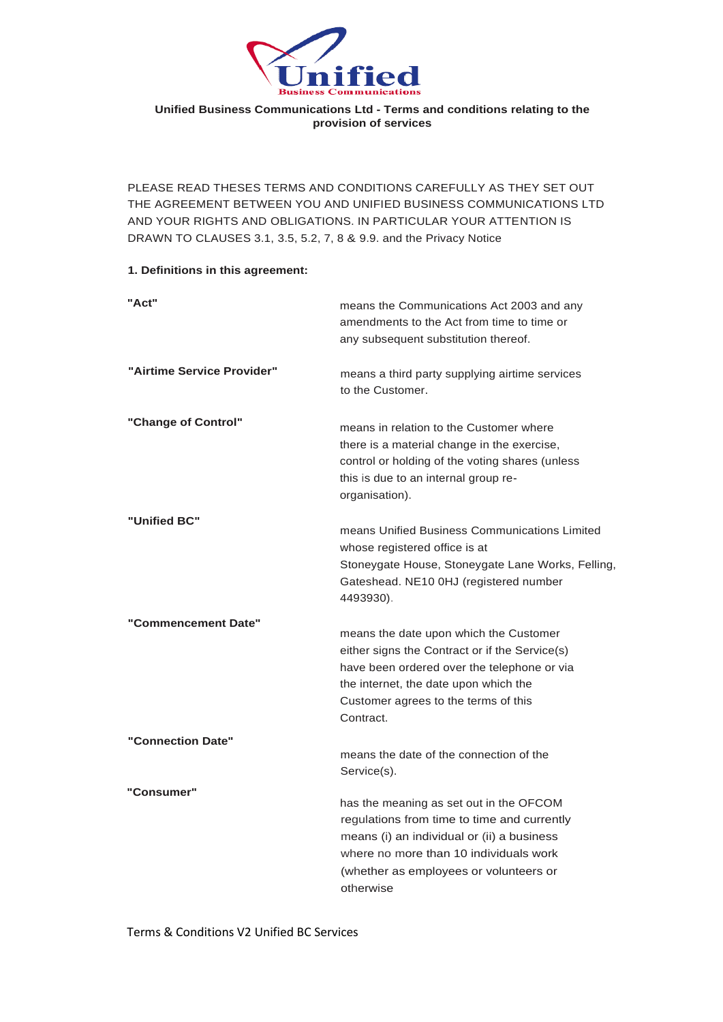

#### **Unified Business Communications Ltd - Terms and conditions relating to the provision of services**

PLEASE READ THESES TERMS AND CONDITIONS CAREFULLY AS THEY SET OUT THE AGREEMENT BETWEEN YOU AND UNIFIED BUSINESS COMMUNICATIONS LTD AND YOUR RIGHTS AND OBLIGATIONS. IN PARTICULAR YOUR ATTENTION IS DRAWN TO CLAUSES 3.1, 3.5, 5.2, 7, 8 & 9.9. and the Privacy Notice

#### **1. Definitions in this agreement:**

| "Act"                      | means the Communications Act 2003 and any<br>amendments to the Act from time to time or<br>any subsequent substitution thereof.                                                                                                       |
|----------------------------|---------------------------------------------------------------------------------------------------------------------------------------------------------------------------------------------------------------------------------------|
| "Airtime Service Provider" | means a third party supplying airtime services<br>to the Customer.                                                                                                                                                                    |
| "Change of Control"        | means in relation to the Customer where<br>there is a material change in the exercise,<br>control or holding of the voting shares (unless<br>this is due to an internal group re-<br>organisation).                                   |
| "Unified BC"               | means Unified Business Communications Limited<br>whose registered office is at<br>Stoneygate House, Stoneygate Lane Works, Felling,<br>Gateshead. NE10 0HJ (registered number<br>4493930).                                            |
| "Commencement Date"        | means the date upon which the Customer<br>either signs the Contract or if the Service(s)<br>have been ordered over the telephone or via<br>the internet, the date upon which the<br>Customer agrees to the terms of this<br>Contract. |
| "Connection Date"          | means the date of the connection of the<br>Service(s).                                                                                                                                                                                |
| "Consumer"                 | has the meaning as set out in the OFCOM<br>regulations from time to time and currently<br>means (i) an individual or (ii) a business<br>where no more than 10 individuals work<br>(whether as employees or volunteers or<br>otherwise |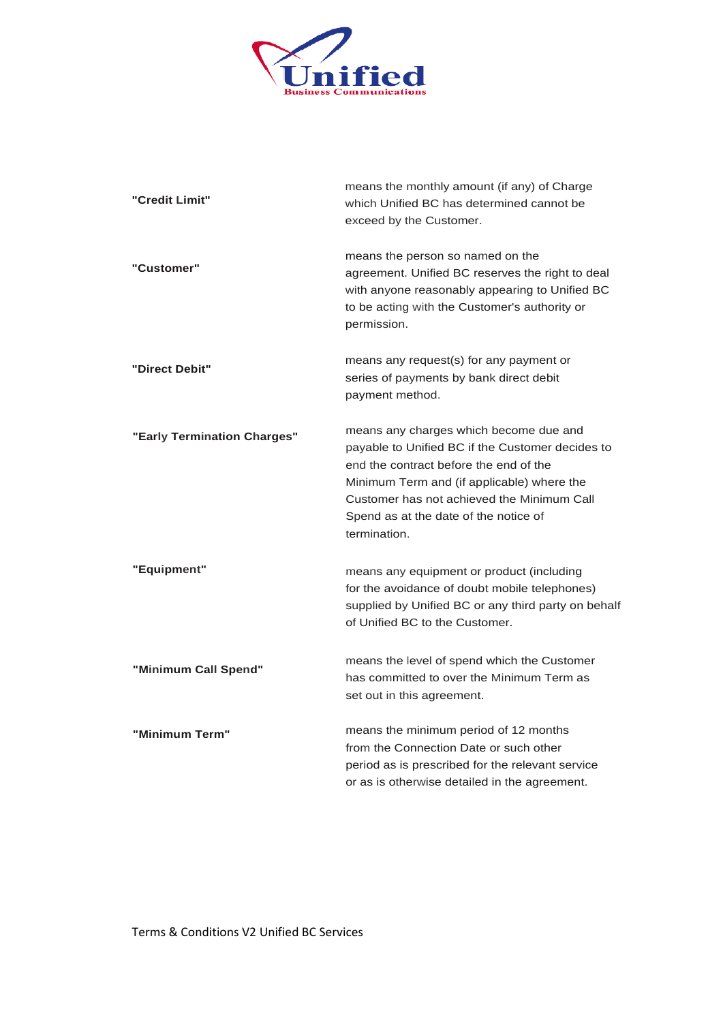

| "Credit Limit"              | means the monthly amount (if any) of Charge<br>which Unified BC has determined cannot be<br>exceed by the Customer.                                                                                                                                                                       |
|-----------------------------|-------------------------------------------------------------------------------------------------------------------------------------------------------------------------------------------------------------------------------------------------------------------------------------------|
| "Customer"                  | means the person so named on the<br>agreement. Unified BC reserves the right to deal<br>with anyone reasonably appearing to Unified BC<br>to be acting with the Customer's authority or<br>permission.                                                                                    |
| "Direct Debit"              | means any request(s) for any payment or<br>series of payments by bank direct debit<br>payment method.                                                                                                                                                                                     |
| "Early Termination Charges" | means any charges which become due and<br>payable to Unified BC if the Customer decides to<br>end the contract before the end of the<br>Minimum Term and (if applicable) where the<br>Customer has not achieved the Minimum Call<br>Spend as at the date of the notice of<br>termination. |
| "Equipment"                 | means any equipment or product (including<br>for the avoidance of doubt mobile telephones)<br>supplied by Unified BC or any third party on behalf<br>of Unified BC to the Customer.                                                                                                       |
| "Minimum Call Spend"        | means the level of spend which the Customer<br>has committed to over the Minimum Term as<br>set out in this agreement.                                                                                                                                                                    |
| "Minimum Term"              | means the minimum period of 12 months<br>from the Connection Date or such other<br>period as is prescribed for the relevant service<br>or as is otherwise detailed in the agreement.                                                                                                      |

Terms & Conditions V2 Unified BC Services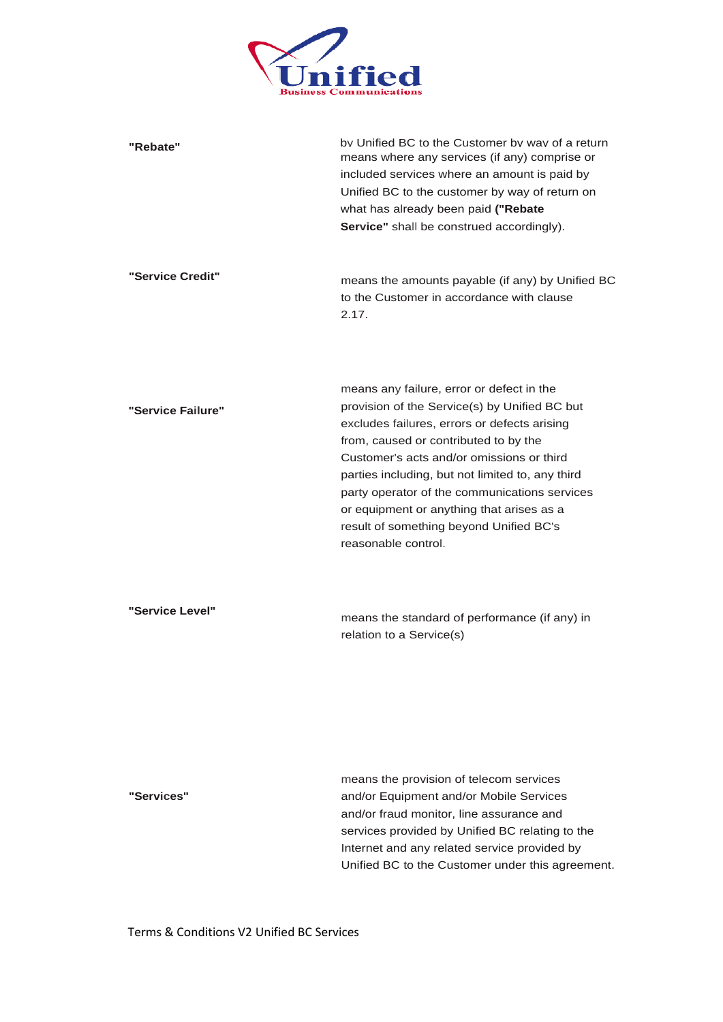

| "Rebate"          | by Unified BC to the Customer by way of a return<br>means where any services (if any) comprise or<br>included services where an amount is paid by<br>Unified BC to the customer by way of return on<br>what has already been paid ("Rebate<br>Service" shall be construed accordingly).                                                                                                                                                              |
|-------------------|------------------------------------------------------------------------------------------------------------------------------------------------------------------------------------------------------------------------------------------------------------------------------------------------------------------------------------------------------------------------------------------------------------------------------------------------------|
| "Service Credit"  | means the amounts payable (if any) by Unified BC<br>to the Customer in accordance with clause<br>2.17.                                                                                                                                                                                                                                                                                                                                               |
| "Service Failure" | means any failure, error or defect in the<br>provision of the Service(s) by Unified BC but<br>excludes failures, errors or defects arising<br>from, caused or contributed to by the<br>Customer's acts and/or omissions or third<br>parties including, but not limited to, any third<br>party operator of the communications services<br>or equipment or anything that arises as a<br>result of something beyond Unified BC's<br>reasonable control. |
| "Service Level"   | means the standard of performance (if any) in<br>relation to a Service(s)                                                                                                                                                                                                                                                                                                                                                                            |
| "Services"        | means the provision of telecom services<br>and/or Equipment and/or Mobile Services<br>and/or fraud monitor, line assurance and<br>services provided by Unified BC relating to the<br>Internet and any related service provided by<br>Unified BC to the Customer under this agreement.                                                                                                                                                                |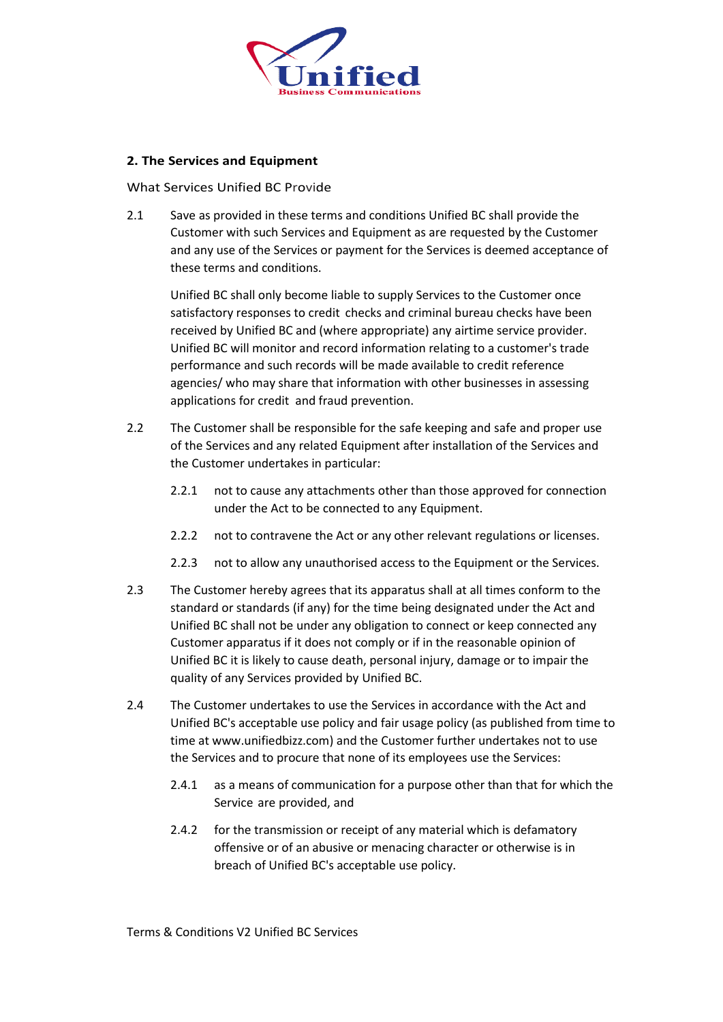

# **2. The Services and Equipment**

What Services Unified BC Provide

2.1 Save as provided in these terms and conditions Unified BC shall provide the Customer with such Services and Equipment as are requested by the Customer and any use of the Services or payment for the Services is deemed acceptance of these terms and conditions.

Unified BC shall only become liable to supply Services to the Customer once satisfactory responses to credit checks and criminal bureau checks have been received by Unified BC and (where appropriate) any airtime service provider. Unified BC will monitor and record information relating to a customer's trade performance and such records will be made available to credit reference agencies/ who may share that information with other businesses in assessing applications for credit and fraud prevention.

- 2.2 The Customer shall be responsible for the safe keeping and safe and proper use of the Services and any related Equipment after installation of the Services and the Customer undertakes in particular:
	- 2.2.1 not to cause any attachments other than those approved for connection under the Act to be connected to any Equipment.
	- 2.2.2 not to contravene the Act or any other relevant regulations or licenses.
	- 2.2.3 not to allow any unauthorised access to the Equipment or the Services.
- 2.3 The Customer hereby agrees that its apparatus shall at all times conform to the standard or standards (if any) for the time being designated under the Act and Unified BC shall not be under any obligation to connect or keep connected any Customer apparatus if it does not comply or if in the reasonable opinion of Unified BC it is likely to cause death, personal injury, damage or to impair the quality of any Services provided by Unified BC.
- 2.4 The Customer undertakes to use the Services in accordance with the Act and Unified BC's acceptable use policy and fair usage policy (as published from time to time at www.unifiedbizz.com) and the Customer further undertakes not to use the Services and to procure that none of its employees use the Services:
	- 2.4.1 as a means of communication for a purpose other than that for which the Service are provided, and
	- 2.4.2 for the transmission or receipt of any material which is defamatory offensive or of an abusive or menacing character or otherwise is in breach of Unified BC's acceptable use policy.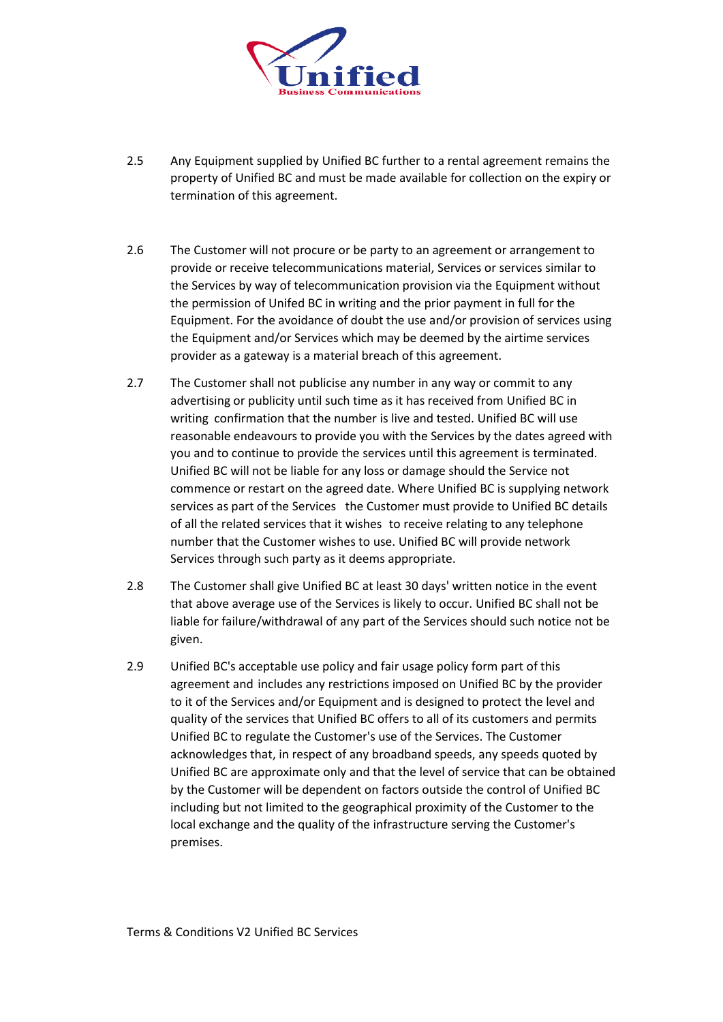

- 2.5 Any Equipment supplied by Unified BC further to a rental agreement remains the property of Unified BC and must be made available for collection on the expiry or termination of this agreement.
- 2.6 The Customer will not procure or be party to an agreement or arrangement to provide or receive telecommunications material, Services or services similar to the Services by way of telecommunication provision via the Equipment without the permission of Unifed BC in writing and the prior payment in full for the Equipment. For the avoidance of doubt the use and/or provision of services using the Equipment and/or Services which may be deemed by the airtime services provider as a gateway is a material breach of this agreement.
- 2.7 The Customer shall not publicise any number in any way or commit to any advertising or publicity until such time as it has received from Unified BC in writing confirmation that the number is live and tested. Unified BC will use reasonable endeavours to provide you with the Services by the dates agreed with you and to continue to provide the services until this agreement is terminated. Unified BC will not be liable for any loss or damage should the Service not commence or restart on the agreed date. Where Unified BC is supplying network services as part of the Services the Customer must provide to Unified BC details of all the related services that it wishes to receive relating to any telephone number that the Customer wishes to use. Unified BC will provide network Services through such party as it deems appropriate.
- 2.8 The Customer shall give Unified BC at least 30 days' written notice in the event that above average use of the Services is likely to occur. Unified BC shall not be liable for failure/withdrawal of any part of the Services should such notice not be given.
- 2.9 Unified BC's acceptable use policy and fair usage policy form part of this agreement and includes any restrictions imposed on Unified BC by the provider to it of the Services and/or Equipment and is designed to protect the level and quality of the services that Unified BC offers to all of its customers and permits Unified BC to regulate the Customer's use of the Services. The Customer acknowledges that, in respect of any broadband speeds, any speeds quoted by Unified BC are approximate only and that the level of service that can be obtained by the Customer will be dependent on factors outside the control of Unified BC including but not limited to the geographical proximity of the Customer to the local exchange and the quality of the infrastructure serving the Customer's premises.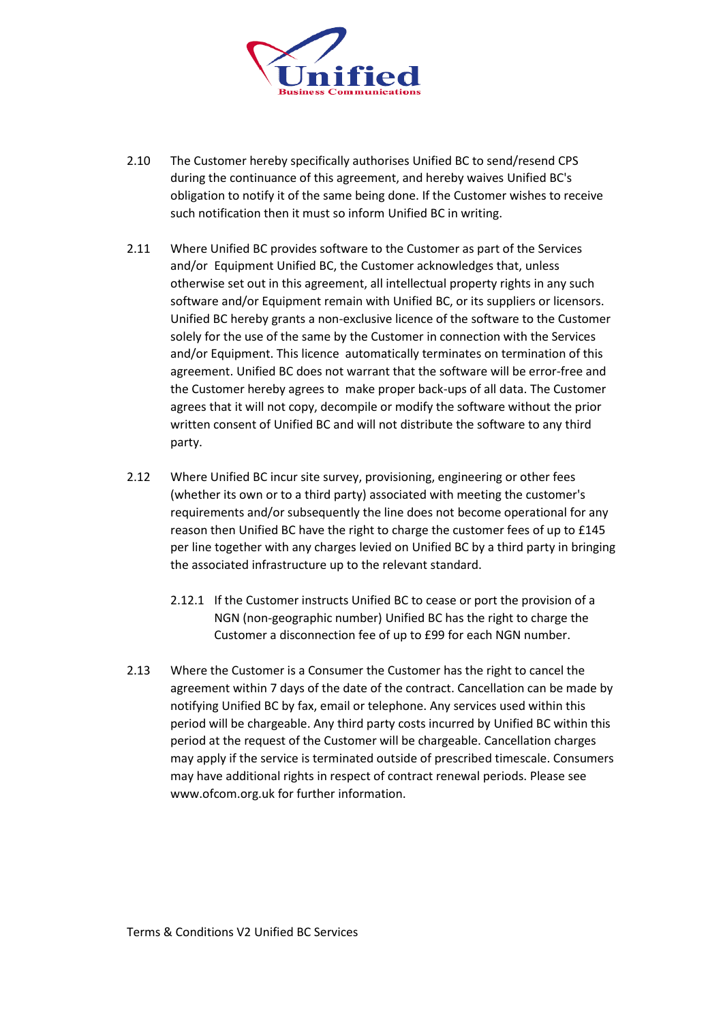

- 2.10 The Customer hereby specifically authorises Unified BC to send/resend CPS during the continuance of this agreement, and hereby waives Unified BC's obligation to notify it of the same being done. If the Customer wishes to receive such notification then it must so inform Unified BC in writing.
- 2.11 Where Unified BC provides software to the Customer as part of the Services and/or Equipment Unified BC, the Customer acknowledges that, unless otherwise set out in this agreement, all intellectual property rights in any such software and/or Equipment remain with Unified BC, or its suppliers or licensors. Unified BC hereby grants a non-exclusive licence of the software to the Customer solely for the use of the same by the Customer in connection with the Services and/or Equipment. This licence automatically terminates on termination of this agreement. Unified BC does not warrant that the software will be error-free and the Customer hereby agrees to make proper back-ups of all data. The Customer agrees that it will not copy, decompile or modify the software without the prior written consent of Unified BC and will not distribute the software to any third party.
- 2.12 Where Unified BC incur site survey, provisioning, engineering or other fees (whether its own or to a third party) associated with meeting the customer's requirements and/or subsequently the line does not become operational for any reason then Unified BC have the right to charge the customer fees of up to £145 per line together with any charges levied on Unified BC by a third party in bringing the associated infrastructure up to the relevant standard.
	- 2.12.1 If the Customer instructs Unified BC to cease or port the provision of a NGN (non-geographic number) Unified BC has the right to charge the Customer a disconnection fee of up to £99 for each NGN number.
- 2.13 Where the Customer is a Consumer the Customer has the right to cancel the agreement within 7 days of the date of the contract. Cancellation can be made by notifying Unified BC by fax, email or telephone. Any services used within this period will be chargeable. Any third party costs incurred by Unified BC within this period at the request of the Customer will be chargeable. Cancellation charges may apply if the service is terminated outside of prescribed timescale. Consumers may have additional rights in respect of contract renewal periods. Please see www.ofcom.org.uk for further information.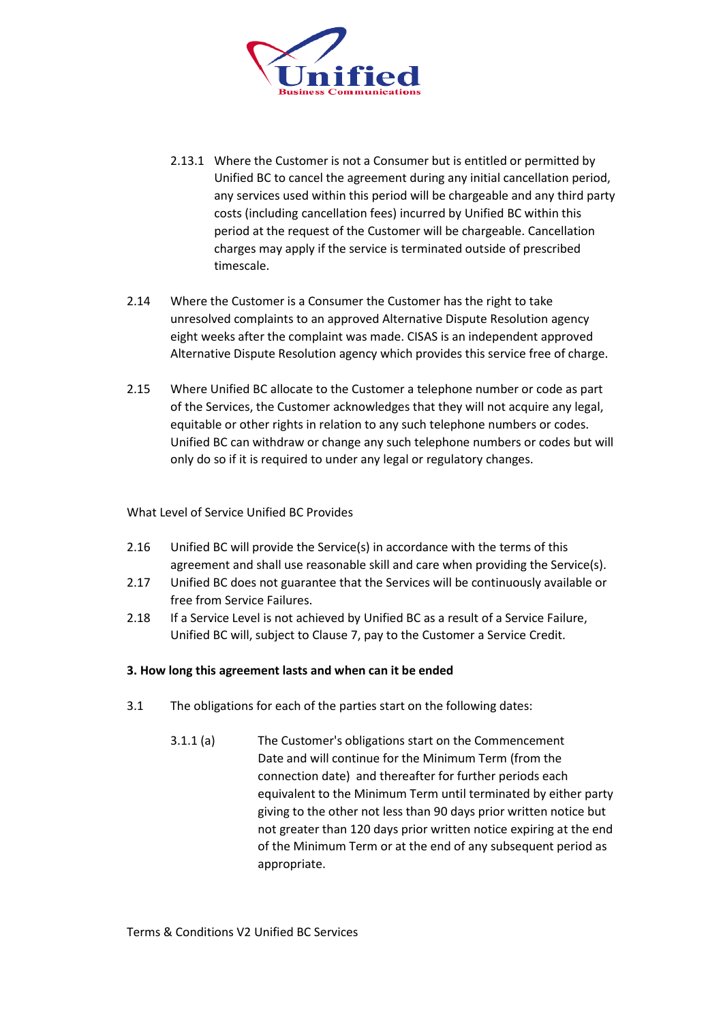

- 2.13.1 Where the Customer is not a Consumer but is entitled or permitted by Unified BC to cancel the agreement during any initial cancellation period, any services used within this period will be chargeable and any third party costs (including cancellation fees) incurred by Unified BC within this period at the request of the Customer will be chargeable. Cancellation charges may apply if the service is terminated outside of prescribed timescale.
- 2.14 Where the Customer is a Consumer the Customer has the right to take unresolved complaints to an approved Alternative Dispute Resolution agency eight weeks after the complaint was made. CISAS is an independent approved Alternative Dispute Resolution agency which provides this service free of charge.
- 2.15 Where Unified BC allocate to the Customer a telephone number or code as part of the Services, the Customer acknowledges that they will not acquire any legal, equitable or other rights in relation to any such telephone numbers or codes. Unified BC can withdraw or change any such telephone numbers or codes but will only do so if it is required to under any legal or regulatory changes.

What Level of Service Unified BC Provides

- 2.16 Unified BC will provide the Service(s) in accordance with the terms of this agreement and shall use reasonable skill and care when providing the Service(s).
- 2.17 Unified BC does not guarantee that the Services will be continuously available or free from Service Failures.
- 2.18 If a Service Level is not achieved by Unified BC as a result of a Service Failure, Unified BC will, subject to Clause 7, pay to the Customer a Service Credit.

# **3. How long this agreement lasts and when can it be ended**

- 3.1 The obligations for each of the parties start on the following dates:
	- 3.1.1 (a) The Customer's obligations start on the Commencement Date and will continue for the Minimum Term (from the connection date) and thereafter for further periods each equivalent to the Minimum Term until terminated by either party giving to the other not less than 90 days prior written notice but not greater than 120 days prior written notice expiring at the end of the Minimum Term or at the end of any subsequent period as appropriate.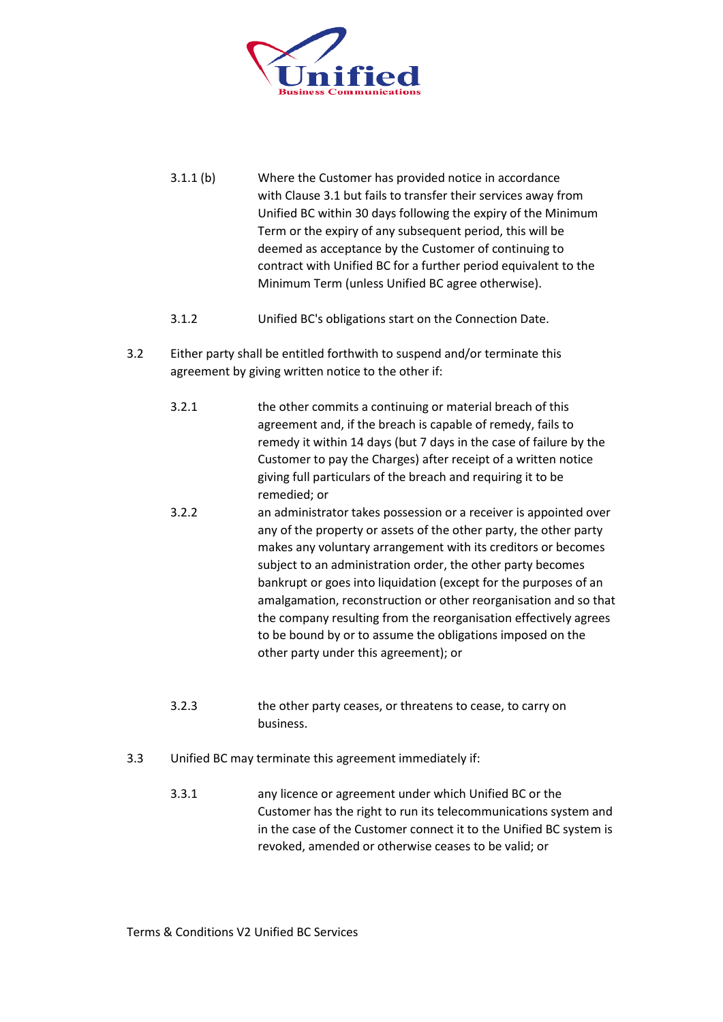

- 3.1.1 (b) Where the Customer has provided notice in accordance with Clause 3.1 but fails to transfer their services away from Unified BC within 30 days following the expiry of the Minimum Term or the expiry of any subsequent period, this will be deemed as acceptance by the Customer of continuing to contract with Unified BC for a further period equivalent to the Minimum Term (unless Unified BC agree otherwise).
- 3.1.2 Unified BC's obligations start on the Connection Date.
- 3.2 Either party shall be entitled forthwith to suspend and/or terminate this agreement by giving written notice to the other if:
	- 3.2.1 the other commits a continuing or material breach of this agreement and, if the breach is capable of remedy, fails to remedy it within 14 days (but 7 days in the case of failure by the Customer to pay the Charges) after receipt of a written notice giving full particulars of the breach and requiring it to be remedied; or
	- 3.2.2 an administrator takes possession or a receiver is appointed over any of the property or assets of the other party, the other party makes any voluntary arrangement with its creditors or becomes subject to an administration order, the other party becomes bankrupt or goes into liquidation (except for the purposes of an amalgamation, reconstruction or other reorganisation and so that the company resulting from the reorganisation effectively agrees to be bound by or to assume the obligations imposed on the other party under this agreement); or
	- 3.2.3 the other party ceases, or threatens to cease, to carry on business.
- 3.3 Unified BC may terminate this agreement immediately if:
	- 3.3.1 any licence or agreement under which Unified BC or the Customer has the right to run its telecommunications system and in the case of the Customer connect it to the Unified BC system is revoked, amended or otherwise ceases to be valid; or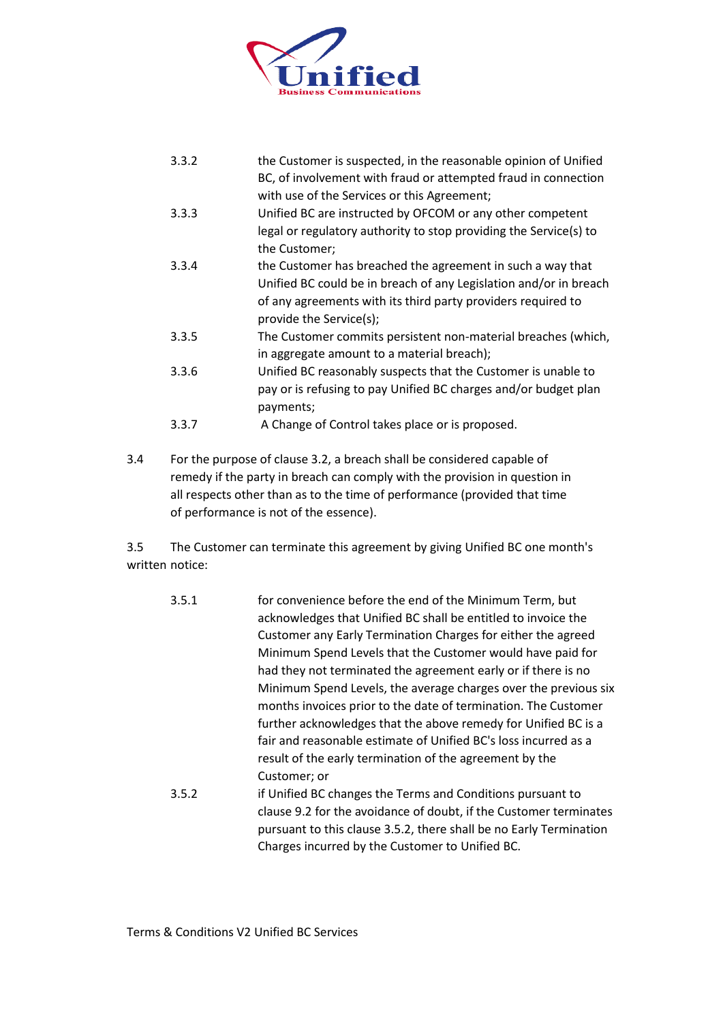

| 3.3.2 | the Customer is suspected, in the reasonable opinion of Unified   |
|-------|-------------------------------------------------------------------|
|       | BC, of involvement with fraud or attempted fraud in connection    |
|       | with use of the Services or this Agreement;                       |
| 3.3.3 | Unified BC are instructed by OFCOM or any other competent         |
|       | legal or regulatory authority to stop providing the Service(s) to |
|       | the Customer;                                                     |
| 3.3.4 | the Customer has breached the agreement in such a way that        |
|       | Unified BC could be in breach of any Legislation and/or in breach |
|       | of any agreements with its third party providers required to      |
|       | provide the Service(s);                                           |
| 3.3.5 | The Customer commits persistent non-material breaches (which,     |
|       | in aggregate amount to a material breach);                        |
| 3.3.6 | Unified BC reasonably suspects that the Customer is unable to     |
|       | pay or is refusing to pay Unified BC charges and/or budget plan   |
|       | payments;                                                         |
| 3.3.7 | A Change of Control takes place or is proposed.                   |

3.4 For the purpose of clause 3.2, a breach shall be considered capable of remedy if the party in breach can comply with the provision in question in all respects other than as to the time of performance (provided that time of performance is not of the essence).

3.5 The Customer can terminate this agreement by giving Unified BC one month's written notice:

- 3.5.1 for convenience before the end of the Minimum Term, but acknowledges that Unified BC shall be entitled to invoice the Customer any Early Termination Charges for either the agreed Minimum Spend Levels that the Customer would have paid for had they not terminated the agreement early or if there is no Minimum Spend Levels, the average charges over the previous six months invoices prior to the date of termination. The Customer further acknowledges that the above remedy for Unified BC is a fair and reasonable estimate of Unified BC's loss incurred as a result of the early termination of the agreement by the Customer; or 3.5.2 if Unified BC changes the Terms and Conditions pursuant to
- clause 9.2 for the avoidance of doubt, if the Customer terminates pursuant to this clause 3.5.2, there shall be no Early Termination Charges incurred by the Customer to Unified BC.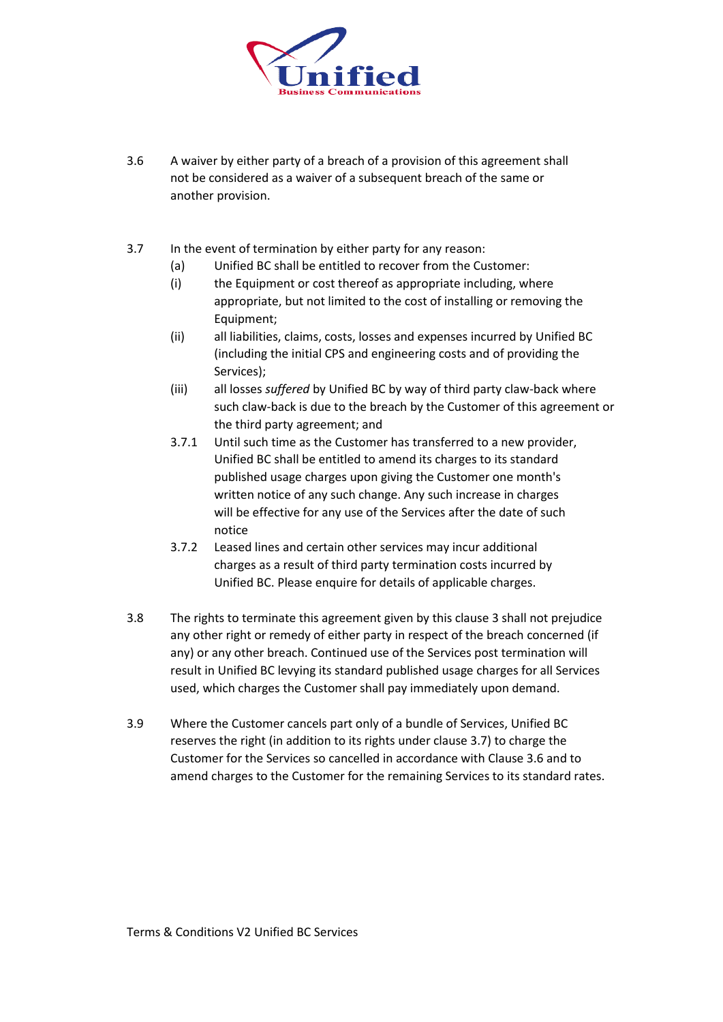

- 3.6 A waiver by either party of a breach of a provision of this agreement shall not be considered as a waiver of a subsequent breach of the same or another provision.
- 3.7 In the event of termination by either party for any reason:
	- (a) Unified BC shall be entitled to recover from the Customer:
	- (i) the Equipment or cost thereof as appropriate including, where appropriate, but not limited to the cost of installing or removing the Equipment;
	- (ii) all liabilities, claims, costs, losses and expenses incurred by Unified BC (including the initial CPS and engineering costs and of providing the Services);
	- (iii) all losses *suffered* by Unified BC by way of third party claw-back where such claw-back is due to the breach by the Customer of this agreement or the third party agreement; and
	- 3.7.1 Until such time as the Customer has transferred to a new provider, Unified BC shall be entitled to amend its charges to its standard published usage charges upon giving the Customer one month's written notice of any such change. Any such increase in charges will be effective for any use of the Services after the date of such notice
	- 3.7.2 Leased lines and certain other services may incur additional charges as a result of third party termination costs incurred by Unified BC. Please enquire for details of applicable charges.
- 3.8 The rights to terminate this agreement given by this clause 3 shall not prejudice any other right or remedy of either party in respect of the breach concerned (if any) or any other breach. Continued use of the Services post termination will result in Unified BC levying its standard published usage charges for all Services used, which charges the Customer shall pay immediately upon demand.
- 3.9 Where the Customer cancels part only of a bundle of Services, Unified BC reserves the right (in addition to its rights under clause 3.7) to charge the Customer for the Services so cancelled in accordance with Clause 3.6 and to amend charges to the Customer for the remaining Services to its standard rates.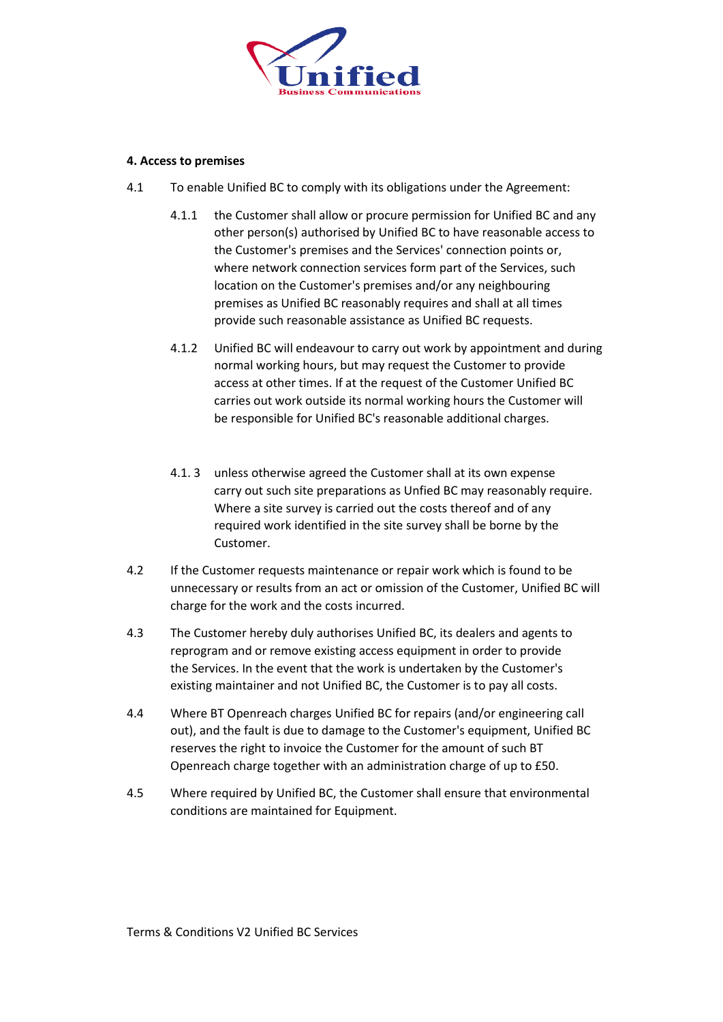

#### **4. Access to premises**

- 4.1 To enable Unified BC to comply with its obligations under the Agreement:
	- 4.1.1 the Customer shall allow or procure permission for Unified BC and any other person(s) authorised by Unified BC to have reasonable access to the Customer's premises and the Services' connection points or, where network connection services form part of the Services, such location on the Customer's premises and/or any neighbouring premises as Unified BC reasonably requires and shall at all times provide such reasonable assistance as Unified BC requests.
	- 4.1.2 Unified BC will endeavour to carry out work by appointment and during normal working hours, but may request the Customer to provide access at other times. If at the request of the Customer Unified BC carries out work outside its normal working hours the Customer will be responsible for Unified BC's reasonable additional charges.
	- 4.1. 3 unless otherwise agreed the Customer shall at its own expense carry out such site preparations as Unfied BC may reasonably require. Where a site survey is carried out the costs thereof and of any required work identified in the site survey shall be borne by the Customer.
- 4.2 If the Customer requests maintenance or repair work which is found to be unnecessary or results from an act or omission of the Customer, Unified BC will charge for the work and the costs incurred.
- 4.3 The Customer hereby duly authorises Unified BC, its dealers and agents to reprogram and or remove existing access equipment in order to provide the Services. In the event that the work is undertaken by the Customer's existing maintainer and not Unified BC, the Customer is to pay all costs.
- 4.4 Where BT Openreach charges Unified BC for repairs (and/or engineering call out), and the fault is due to damage to the Customer's equipment, Unified BC reserves the right to invoice the Customer for the amount of such BT Openreach charge together with an administration charge of up to £50.
- 4.5 Where required by Unified BC, the Customer shall ensure that environmental conditions are maintained for Equipment.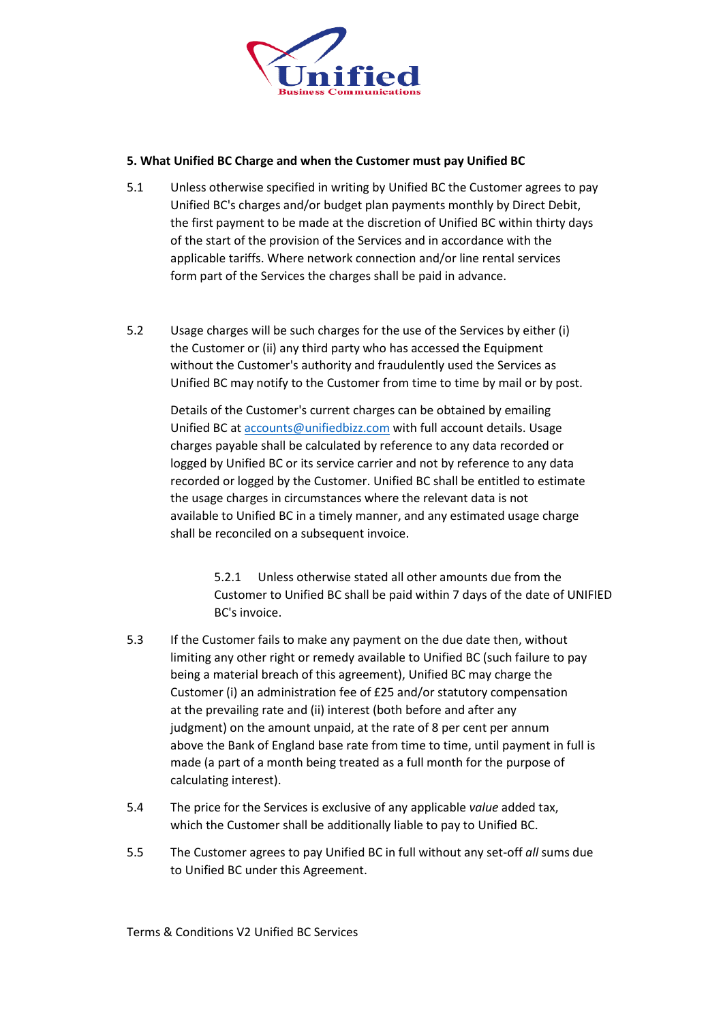

## **5. What Unified BC Charge and when the Customer must pay Unified BC**

- 5.1 Unless otherwise specified in writing by Unified BC the Customer agrees to pay Unified BC's charges and/or budget plan payments monthly by Direct Debit, the first payment to be made at the discretion of Unified BC within thirty days of the start of the provision of the Services and in accordance with the applicable tariffs. Where network connection and/or line rental services form part of the Services the charges shall be paid in advance.
- 5.2 Usage charges will be such charges for the use of the Services by either (i) the Customer or (ii) any third party who has accessed the Equipment without the Customer's authority and fraudulently used the Services as Unified BC may notify to the Customer from time to time by mail or by post.

Details of the Customer's current charges can be obtained by emailing Unified BC at [accounts@unifiedbizz.com](mailto:billing@unifiedbizz.com) with full account details. Usage charges payable shall be calculated by reference to any data recorded or logged by Unified BC or its service carrier and not by reference to any data recorded or logged by the Customer. Unified BC shall be entitled to estimate the usage charges in circumstances where the relevant data is not available to Unified BC in a timely manner, and any estimated usage charge shall be reconciled on a subsequent invoice.

> 5.2.1 Unless otherwise stated all other amounts due from the Customer to Unified BC shall be paid within 7 days of the date of UNIFIED BC's invoice.

- 5.3 If the Customer fails to make any payment on the due date then, without limiting any other right or remedy available to Unified BC (such failure to pay being a material breach of this agreement), Unified BC may charge the Customer (i) an administration fee of £25 and/or statutory compensation at the prevailing rate and (ii) interest (both before and after any judgment) on the amount unpaid, at the rate of 8 per cent per annum above the Bank of England base rate from time to time, until payment in full is made (a part of a month being treated as a full month for the purpose of calculating interest).
- 5.4 The price for the Services is exclusive of any applicable *value* added tax, which the Customer shall be additionally liable to pay to Unified BC.
- 5.5 The Customer agrees to pay Unified BC in full without any set-off *all* sums due to Unified BC under this Agreement.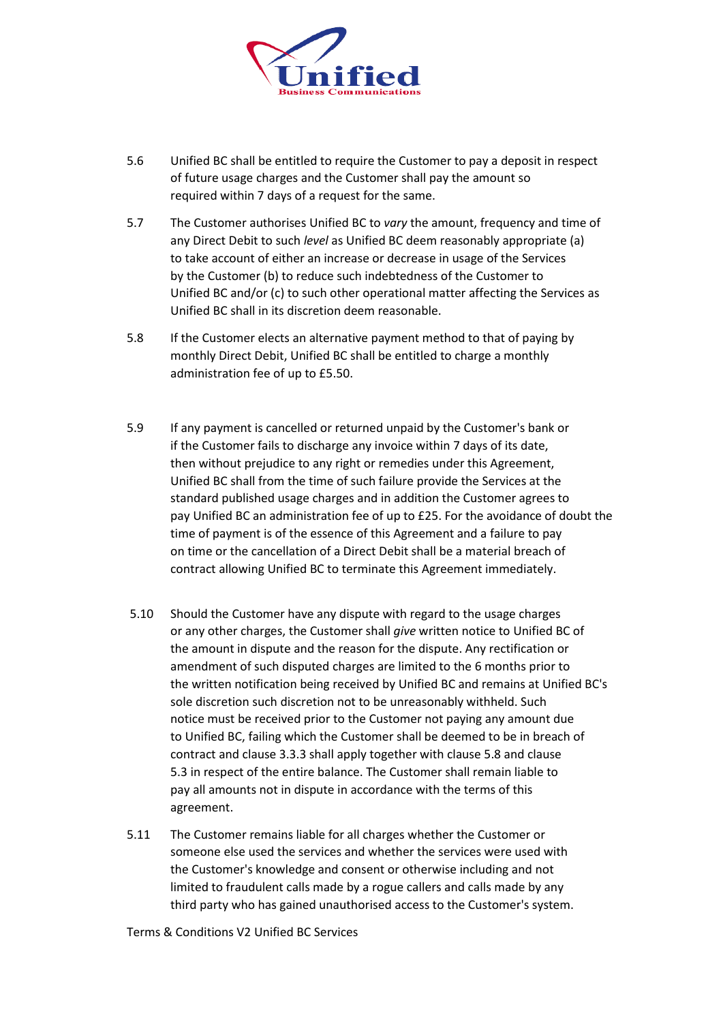

- 5.6 Unified BC shall be entitled to require the Customer to pay a deposit in respect of future usage charges and the Customer shall pay the amount so required within 7 days of a request for the same.
- 5.7 The Customer authorises Unified BC to *vary* the amount, frequency and time of any Direct Debit to such *level* as Unified BC deem reasonably appropriate (a) to take account of either an increase or decrease in usage of the Services by the Customer (b) to reduce such indebtedness of the Customer to Unified BC and/or (c) to such other operational matter affecting the Services as Unified BC shall in its discretion deem reasonable.
- 5.8 If the Customer elects an alternative payment method to that of paying by monthly Direct Debit, Unified BC shall be entitled to charge a monthly administration fee of up to £5.50.
- 5.9 If any payment is cancelled or returned unpaid by the Customer's bank or if the Customer fails to discharge any invoice within 7 days of its date, then without prejudice to any right or remedies under this Agreement, Unified BC shall from the time of such failure provide the Services at the standard published usage charges and in addition the Customer agrees to pay Unified BC an administration fee of up to £25. For the avoidance of doubt the time of payment is of the essence of this Agreement and a failure to pay on time or the cancellation of a Direct Debit shall be a material breach of contract allowing Unified BC to terminate this Agreement immediately.
- 5.10 Should the Customer have any dispute with regard to the usage charges or any other charges, the Customer shall *give* written notice to Unified BC of the amount in dispute and the reason for the dispute. Any rectification or amendment of such disputed charges are limited to the 6 months prior to the written notification being received by Unified BC and remains at Unified BC's sole discretion such discretion not to be unreasonably withheld. Such notice must be received prior to the Customer not paying any amount due to Unified BC, failing which the Customer shall be deemed to be in breach of contract and clause 3.3.3 shall apply together with clause 5.8 and clause 5.3 in respect of the entire balance. The Customer shall remain liable to pay all amounts not in dispute in accordance with the terms of this agreement.
- 5.11 The Customer remains liable for all charges whether the Customer or someone else used the services and whether the services were used with the Customer's knowledge and consent or otherwise including and not limited to fraudulent calls made by a rogue callers and calls made by any third party who has gained unauthorised access to the Customer's system.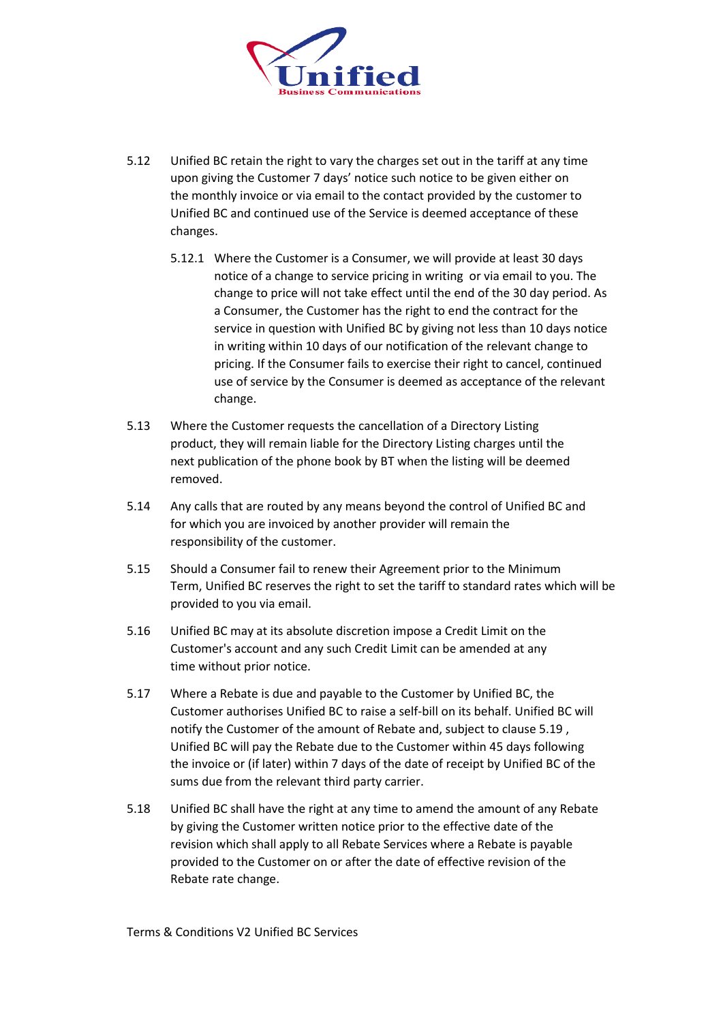

- 5.12 Unified BC retain the right to vary the charges set out in the tariff at any time upon giving the Customer 7 days' notice such notice to be given either on the monthly invoice or via email to the contact provided by the customer to Unified BC and continued use of the Service is deemed acceptance of these changes.
	- 5.12.1 Where the Customer is a Consumer, we will provide at least 30 days notice of a change to service pricing in writing or via email to you. The change to price will not take effect until the end of the 30 day period. As a Consumer, the Customer has the right to end the contract for the service in question with Unified BC by giving not less than 10 days notice in writing within 10 days of our notification of the relevant change to pricing. If the Consumer fails to exercise their right to cancel, continued use of service by the Consumer is deemed as acceptance of the relevant change.
- 5.13 Where the Customer requests the cancellation of a Directory Listing product, they will remain liable for the Directory Listing charges until the next publication of the phone book by BT when the listing will be deemed removed.
- 5.14 Any calls that are routed by any means beyond the control of Unified BC and for which you are invoiced by another provider will remain the responsibility of the customer.
- 5.15 Should a Consumer fail to renew their Agreement prior to the Minimum Term, Unified BC reserves the right to set the tariff to standard rates which will be provided to you via email.
- 5.16 Unified BC may at its absolute discretion impose a Credit Limit on the Customer's account and any such Credit Limit can be amended at any time without prior notice.
- 5.17 Where a Rebate is due and payable to the Customer by Unified BC, the Customer authorises Unified BC to raise a self-bill on its behalf. Unified BC will notify the Customer of the amount of Rebate and, subject to clause 5.19 , Unified BC will pay the Rebate due to the Customer within 45 days following the invoice or (if later) within 7 days of the date of receipt by Unified BC of the sums due from the relevant third party carrier.
- 5.18 Unified BC shall have the right at any time to amend the amount of any Rebate by giving the Customer written notice prior to the effective date of the revision which shall apply to all Rebate Services where a Rebate is payable provided to the Customer on or after the date of effective revision of the Rebate rate change.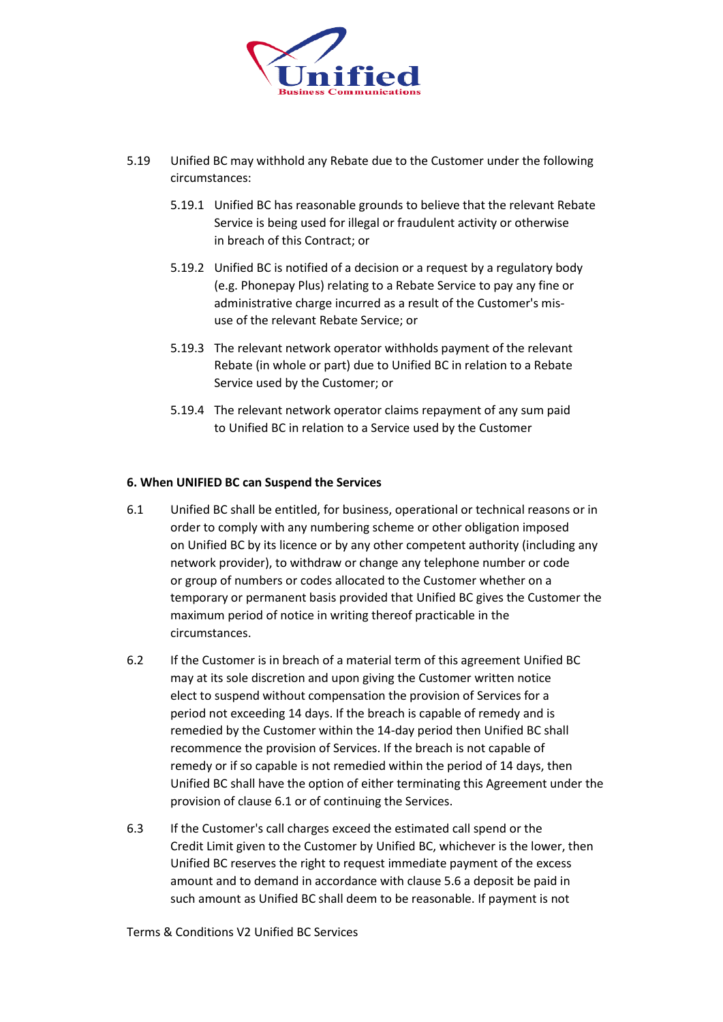

- 5.19 Unified BC may withhold any Rebate due to the Customer under the following circumstances:
	- 5.19.1 Unified BC has reasonable grounds to believe that the relevant Rebate Service is being used for illegal or fraudulent activity or otherwise in breach of this Contract; or
	- 5.19.2 Unified BC is notified of a decision or a request by a regulatory body (e.g. Phonepay Plus) relating to a Rebate Service to pay any fine or administrative charge incurred as a result of the Customer's misuse of the relevant Rebate Service; or
	- 5.19.3 The relevant network operator withholds payment of the relevant Rebate (in whole or part) due to Unified BC in relation to a Rebate Service used by the Customer; or
	- 5.19.4 The relevant network operator claims repayment of any sum paid to Unified BC in relation to a Service used by the Customer

## **6. When UNIFIED BC can Suspend the Services**

- 6.1 Unified BC shall be entitled, for business, operational or technical reasons or in order to comply with any numbering scheme or other obligation imposed on Unified BC by its licence or by any other competent authority (including any network provider), to withdraw or change any telephone number or code or group of numbers or codes allocated to the Customer whether on a temporary or permanent basis provided that Unified BC gives the Customer the maximum period of notice in writing thereof practicable in the circumstances.
- 6.2 If the Customer is in breach of a material term of this agreement Unified BC may at its sole discretion and upon giving the Customer written notice elect to suspend without compensation the provision of Services for a period not exceeding 14 days. If the breach is capable of remedy and is remedied by the Customer within the 14-day period then Unified BC shall recommence the provision of Services. If the breach is not capable of remedy or if so capable is not remedied within the period of 14 days, then Unified BC shall have the option of either terminating this Agreement under the provision of clause 6.1 or of continuing the Services.
- 6.3 If the Customer's call charges exceed the estimated call spend or the Credit Limit given to the Customer by Unified BC, whichever is the lower, then Unified BC reserves the right to request immediate payment of the excess amount and to demand in accordance with clause 5.6 a deposit be paid in such amount as Unified BC shall deem to be reasonable. If payment is not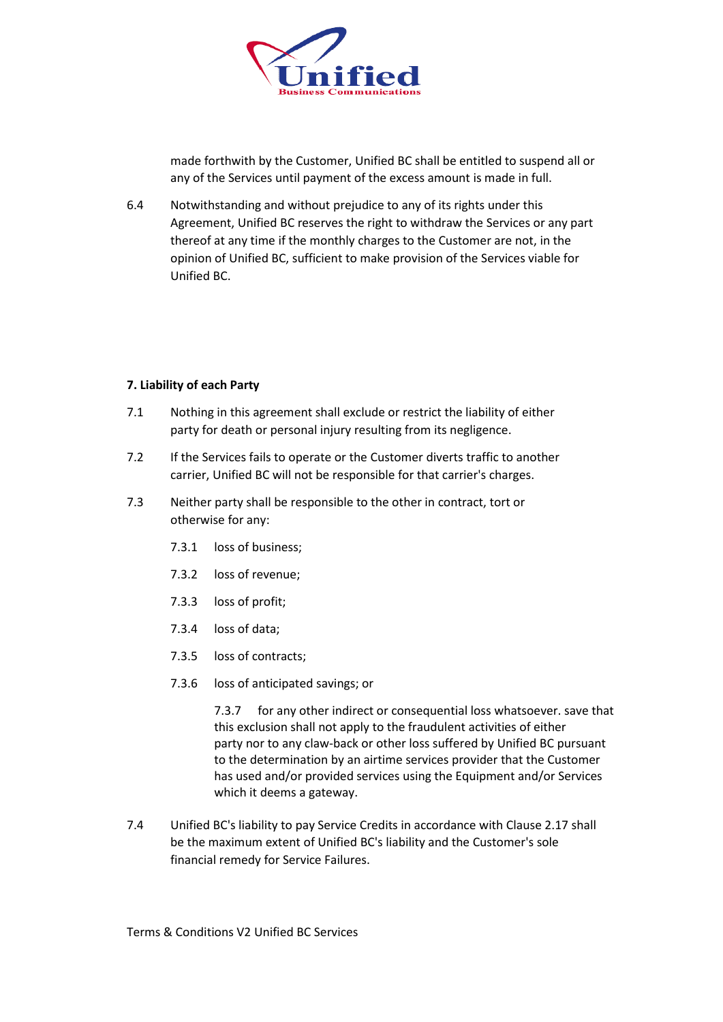

made forthwith by the Customer, Unified BC shall be entitled to suspend all or any of the Services until payment of the excess amount is made in full.

6.4 Notwithstanding and without prejudice to any of its rights under this Agreement, Unified BC reserves the right to withdraw the Services or any part thereof at any time if the monthly charges to the Customer are not, in the opinion of Unified BC, sufficient to make provision of the Services viable for Unified BC.

## **7. Liability of each Party**

- 7.1 Nothing in this agreement shall exclude or restrict the liability of either party for death or personal injury resulting from its negligence.
- 7.2 If the Services fails to operate or the Customer diverts traffic to another carrier, Unified BC will not be responsible for that carrier's charges.
- 7.3 Neither party shall be responsible to the other in contract, tort or otherwise for any:
	- 7.3.1 loss of business;
	- 7.3.2 loss of revenue;
	- 7.3.3 loss of profit;
	- 7.3.4 loss of data;
	- 7.3.5 loss of contracts;
	- 7.3.6 loss of anticipated savings; or

7.3.7 for any other indirect or consequential loss whatsoever. save that this exclusion shall not apply to the fraudulent activities of either party nor to any claw-back or other loss suffered by Unified BC pursuant to the determination by an airtime services provider that the Customer has used and/or provided services using the Equipment and/or Services which it deems a gateway.

7.4 Unified BC's liability to pay Service Credits in accordance with Clause 2.17 shall be the maximum extent of Unified BC's liability and the Customer's sole financial remedy for Service Failures.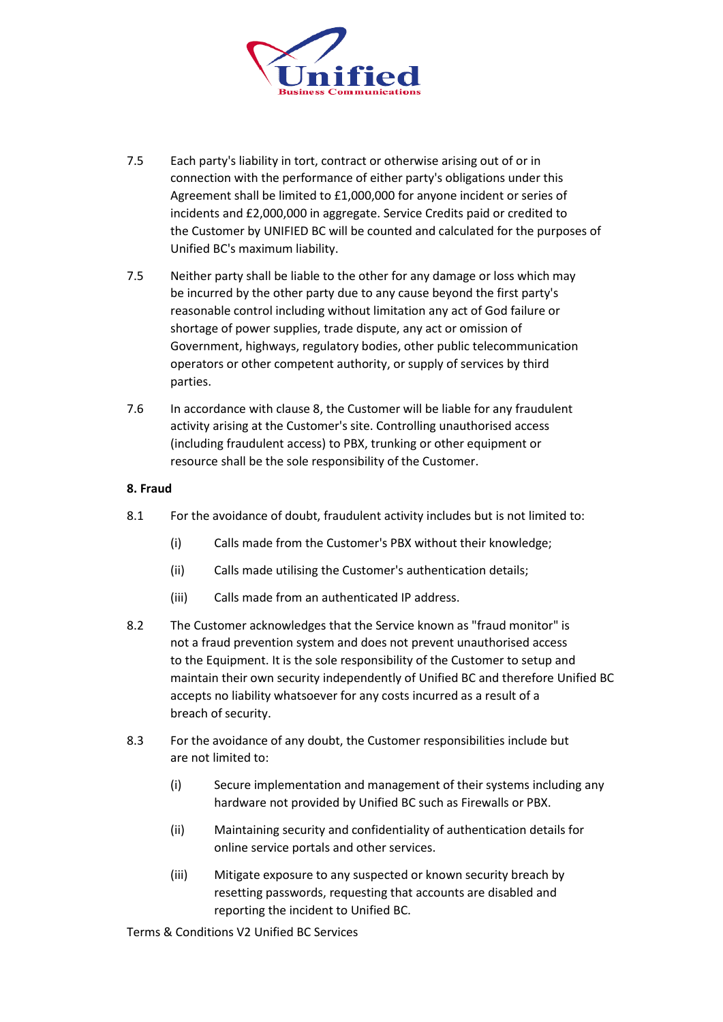

- 7.5 Each party's liability in tort, contract or otherwise arising out of or in connection with the performance of either party's obligations under this Agreement shall be limited to £1,000,000 for anyone incident or series of incidents and £2,000,000 in aggregate. Service Credits paid or credited to the Customer by UNIFIED BC will be counted and calculated for the purposes of Unified BC's maximum liability.
- 7.5 Neither party shall be liable to the other for any damage or loss which may be incurred by the other party due to any cause beyond the first party's reasonable control including without limitation any act of God failure or shortage of power supplies, trade dispute, any act or omission of Government, highways, regulatory bodies, other public telecommunication operators or other competent authority, or supply of services by third parties.
- 7.6 In accordance with clause 8, the Customer will be liable for any fraudulent activity arising at the Customer's site. Controlling unauthorised access (including fraudulent access) to PBX, trunking or other equipment or resource shall be the sole responsibility of the Customer.

## **8. Fraud**

- 8.1 For the avoidance of doubt, fraudulent activity includes but is not limited to:
	- (i) Calls made from the Customer's PBX without their knowledge;
	- (ii) Calls made utilising the Customer's authentication details;
	- (iii) Calls made from an authenticated IP address.
- 8.2 The Customer acknowledges that the Service known as "fraud monitor" is not a fraud prevention system and does not prevent unauthorised access to the Equipment. It is the sole responsibility of the Customer to setup and maintain their own security independently of Unified BC and therefore Unified BC accepts no liability whatsoever for any costs incurred as a result of a breach of security.
- 8.3 For the avoidance of any doubt, the Customer responsibilities include but are not limited to:
	- (i) Secure implementation and management of their systems including any hardware not provided by Unified BC such as Firewalls or PBX.
	- (ii) Maintaining security and confidentiality of authentication details for online service portals and other services.
	- (iii) Mitigate exposure to any suspected or known security breach by resetting passwords, requesting that accounts are disabled and reporting the incident to Unified BC.

Terms & Conditions V2 Unified BC Services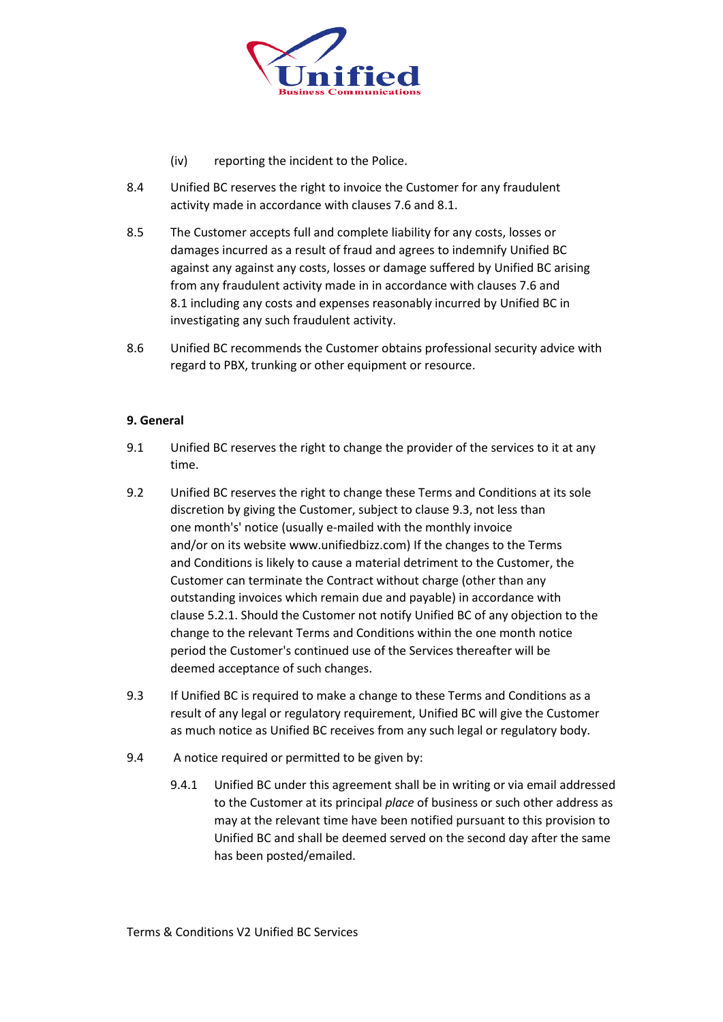

- (iv) reporting the incident to the Police.
- 8.4 Unified BC reserves the right to invoice the Customer for any fraudulent activity made in accordance with clauses 7.6 and 8.1.
- 8.5 The Customer accepts full and complete liability for any costs, losses or damages incurred as a result of fraud and agrees to indemnify Unified BC against any against any costs, losses or damage suffered by Unified BC arising from any fraudulent activity made in in accordance with clauses 7.6 and 8.1 including any costs and expenses reasonably incurred by Unified BC in investigating any such fraudulent activity.
- 8.6 Unified BC recommends the Customer obtains professional security advice with regard to PBX, trunking or other equipment or resource.

#### **9. General**

- 9.1 Unified BC reserves the right to change the provider of the services to it at any time.
- 9.2 Unified BC reserves the right to change these Terms and Conditions at its sole discretion by giving the Customer, subject to clause 9.3, not less than one month's' notice (usually e-mailed with the monthly invoice and/or on its website www.unifiedbizz.com) If the changes to the Terms and Conditions is likely to cause a material detriment to the Customer, the Customer can terminate the Contract without charge (other than any outstanding invoices which remain due and payable) in accordance with clause 5.2.1. Should the Customer not notify Unified BC of any objection to the change to the relevant Terms and Conditions within the one month notice period the Customer's continued use of the Services thereafter will be deemed acceptance of such changes.
- 9.3 If Unified BC is required to make a change to these Terms and Conditions as a result of any legal or regulatory requirement, Unified BC will give the Customer as much notice as Unified BC receives from any such legal or regulatory body.
- 9.4 A notice required or permitted to be given by:
	- 9.4.1 Unified BC under this agreement shall be in writing or via email addressed to the Customer at its principal *place* of business or such other address as may at the relevant time have been notified pursuant to this provision to Unified BC and shall be deemed served on the second day after the same has been posted/emailed.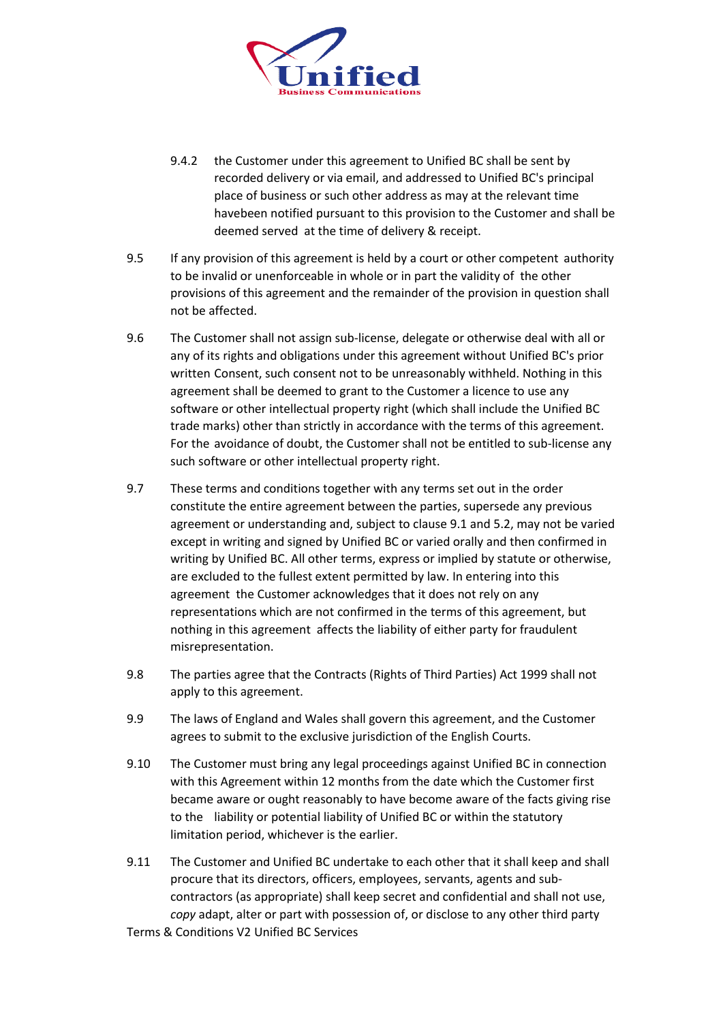

- 9.4.2 the Customer under this agreement to Unified BC shall be sent by recorded delivery or via email, and addressed to Unified BC's principal place of business or such other address as may at the relevant time havebeen notified pursuant to this provision to the Customer and shall be deemed served at the time of delivery & receipt.
- 9.5 If any provision of this agreement is held by a court or other competent authority to be invalid or unenforceable in whole or in part the validity of the other provisions of this agreement and the remainder of the provision in question shall not be affected.
- 9.6 The Customer shall not assign sub-license, delegate or otherwise deal with all or any of its rights and obligations under this agreement without Unified BC's prior written Consent, such consent not to be unreasonably withheld. Nothing in this agreement shall be deemed to grant to the Customer a licence to use any software or other intellectual property right (which shall include the Unified BC trade marks) other than strictly in accordance with the terms of this agreement. For the avoidance of doubt, the Customer shall not be entitled to sub-license any such software or other intellectual property right.
- 9.7 These terms and conditions together with any terms set out in the order constitute the entire agreement between the parties, supersede any previous agreement or understanding and, subject to clause 9.1 and 5.2, may not be varied except in writing and signed by Unified BC or varied orally and then confirmed in writing by Unified BC. All other terms, express or implied by statute or otherwise, are excluded to the fullest extent permitted by law. In entering into this agreement the Customer acknowledges that it does not rely on any representations which are not confirmed in the terms of this agreement, but nothing in this agreement affects the liability of either party for fraudulent misrepresentation.
- 9.8 The parties agree that the Contracts (Rights of Third Parties) Act 1999 shall not apply to this agreement.
- 9.9 The laws of England and Wales shall govern this agreement, and the Customer agrees to submit to the exclusive jurisdiction of the English Courts.
- 9.10 The Customer must bring any legal proceedings against Unified BC in connection with this Agreement within 12 months from the date which the Customer first became aware or ought reasonably to have become aware of the facts giving rise to the liability or potential liability of Unified BC or within the statutory limitation period, whichever is the earlier.
- 9.11 The Customer and Unified BC undertake to each other that it shall keep and shall procure that its directors, officers, employees, servants, agents and subcontractors (as appropriate) shall keep secret and confidential and shall not use, *copy* adapt, alter or part with possession of, or disclose to any other third party

Terms & Conditions V2 Unified BC Services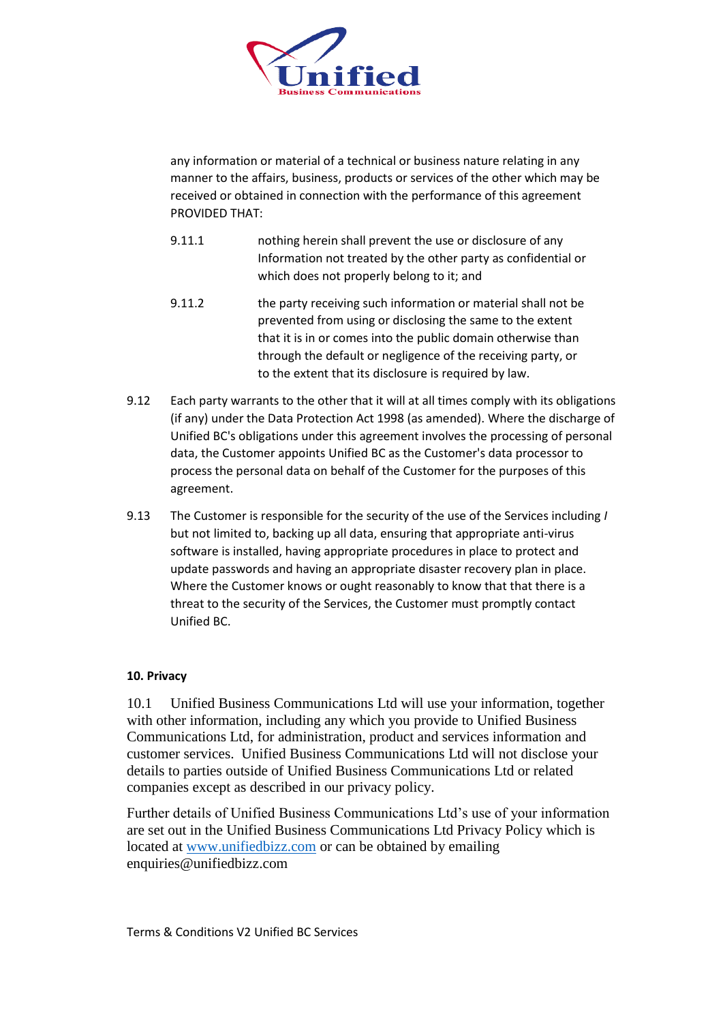

any information or material of a technical or business nature relating in any manner to the affairs, business, products or services of the other which may be received or obtained in connection with the performance of this agreement PROVIDED THAT:

- 9.11.1 nothing herein shall prevent the use or disclosure of any Information not treated by the other party as confidential or which does not properly belong to it; and
- 9.11.2 the party receiving such information or material shall not be prevented from using or disclosing the same to the extent that it is in or comes into the public domain otherwise than through the default or negligence of the receiving party, or to the extent that its disclosure is required by law.
- 9.12 Each party warrants to the other that it will at all times comply with its obligations (if any) under the Data Protection Act 1998 (as amended). Where the discharge of Unified BC's obligations under this agreement involves the processing of personal data, the Customer appoints Unified BC as the Customer's data processor to process the personal data on behalf of the Customer for the purposes of this agreement.
- 9.13 The Customer is responsible for the security of the use of the Services including *I*  but not limited to, backing up all data, ensuring that appropriate anti-virus software is installed, having appropriate procedures in place to protect and update passwords and having an appropriate disaster recovery plan in place. Where the Customer knows or ought reasonably to know that that there is a threat to the security of the Services, the Customer must promptly contact Unified BC.

# **10. Privacy**

10.1 Unified Business Communications Ltd will use your information, together with other information, including any which you provide to Unified Business Communications Ltd, for administration, product and services information and customer services. Unified Business Communications Ltd will not disclose your details to parties outside of Unified Business Communications Ltd or related companies except as described in our privacy policy.

Further details of Unified Business Communications Ltd's use of your information are set out in the Unified Business Communications Ltd Privacy Policy which is located at [www.unifiedbizz.com](http://www.unifiedbizz.com/) or can be obtained by emailing enquiries@unifiedbizz.com